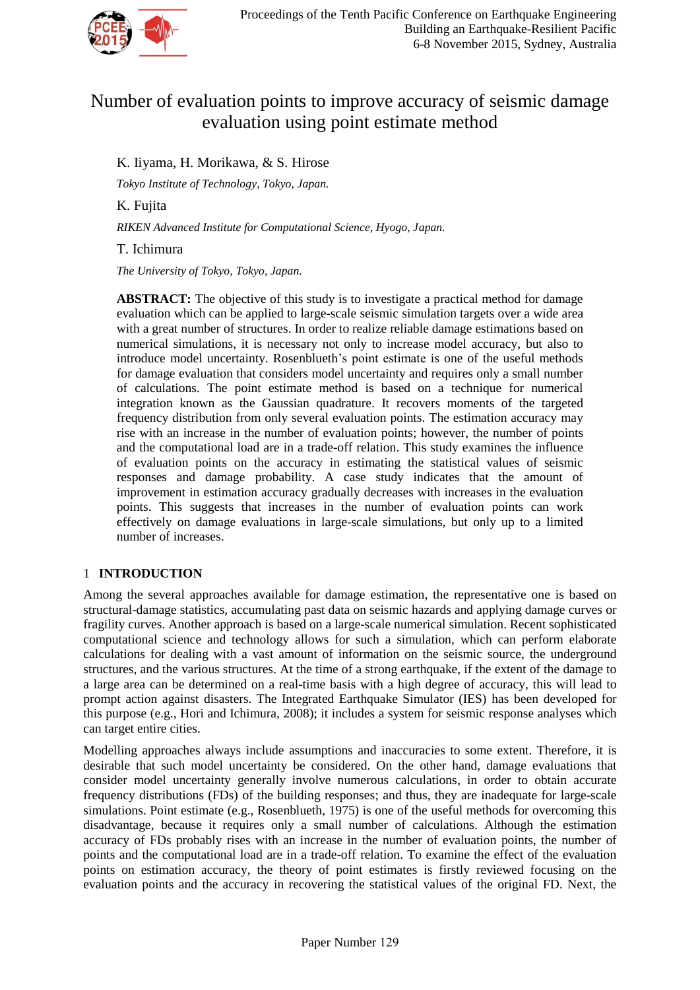

# Number of evaluation points to improve accuracy of seismic damage evaluation using point estimate method

# K. Iiyama, H. Morikawa, & S. Hirose

*Tokyo Institute of Technology, Tokyo, Japan.*

K. Fujita

*RIKEN Advanced Institute for Computational Science, Hyogo, Japan.*

T. Ichimura

*The University of Tokyo, Tokyo, Japan.*

**ABSTRACT:** The objective of this study is to investigate a practical method for damage evaluation which can be applied to large-scale seismic simulation targets over a wide area with a great number of structures. In order to realize reliable damage estimations based on numerical simulations, it is necessary not only to increase model accuracy, but also to introduce model uncertainty. Rosenblueth's point estimate is one of the useful methods for damage evaluation that considers model uncertainty and requires only a small number of calculations. The point estimate method is based on a technique for numerical integration known as the Gaussian quadrature. It recovers moments of the targeted frequency distribution from only several evaluation points. The estimation accuracy may rise with an increase in the number of evaluation points; however, the number of points and the computational load are in a trade-off relation. This study examines the influence of evaluation points on the accuracy in estimating the statistical values of seismic responses and damage probability. A case study indicates that the amount of improvement in estimation accuracy gradually decreases with increases in the evaluation points. This suggests that increases in the number of evaluation points can work effectively on damage evaluations in large-scale simulations, but only up to a limited number of increases.

# 1 **INTRODUCTION**

Among the several approaches available for damage estimation, the representative one is based on structural-damage statistics, accumulating past data on seismic hazards and applying damage curves or fragility curves. Another approach is based on a large-scale numerical simulation. Recent sophisticated computational science and technology allows for such a simulation, which can perform elaborate calculations for dealing with a vast amount of information on the seismic source, the underground structures, and the various structures. At the time of a strong earthquake, if the extent of the damage to a large area can be determined on a real-time basis with a high degree of accuracy, this will lead to prompt action against disasters. The Integrated Earthquake Simulator (IES) has been developed for this purpose (e.g., Hori and Ichimura, 2008); it includes a system for seismic response analyses which can target entire cities.

Modelling approaches always include assumptions and inaccuracies to some extent. Therefore, it is desirable that such model uncertainty be considered. On the other hand, damage evaluations that consider model uncertainty generally involve numerous calculations, in order to obtain accurate frequency distributions (FDs) of the building responses; and thus, they are inadequate for large-scale simulations. Point estimate (e.g., Rosenblueth, 1975) is one of the useful methods for overcoming this disadvantage, because it requires only a small number of calculations. Although the estimation accuracy of FDs probably rises with an increase in the number of evaluation points, the number of points and the computational load are in a trade-off relation. To examine the effect of the evaluation points on estimation accuracy, the theory of point estimates is firstly reviewed focusing on the evaluation points and the accuracy in recovering the statistical values of the original FD. Next, the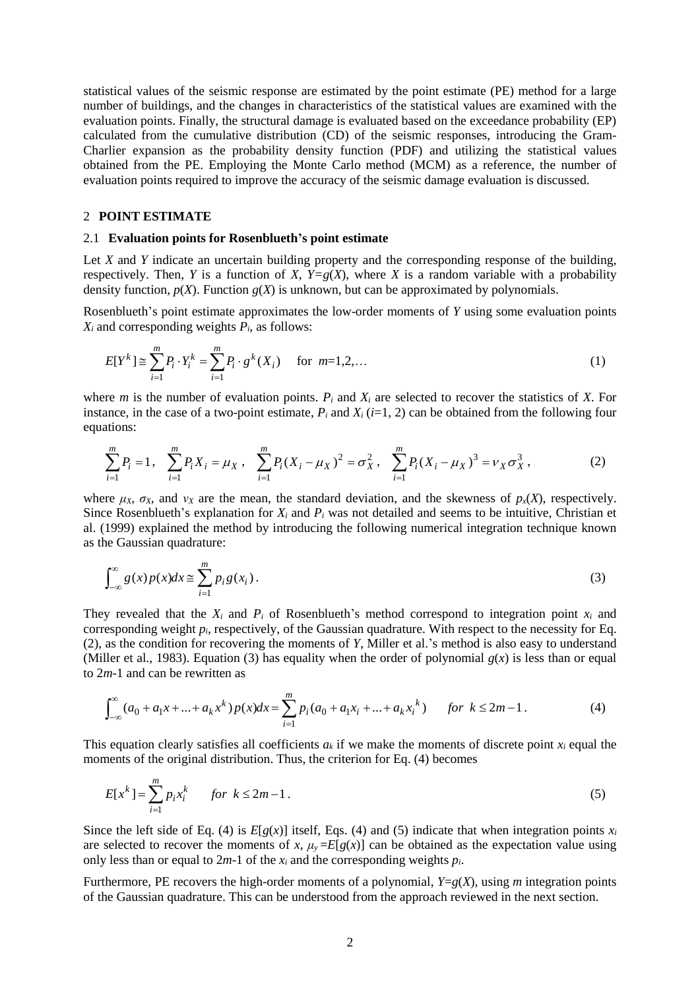statistical values of the seismic response are estimated by the point estimate (PE) method for a large number of buildings, and the changes in characteristics of the statistical values are examined with the evaluation points. Finally, the structural damage is evaluated based on the exceedance probability (EP) calculated from the cumulative distribution (CD) of the seismic responses, introducing the Gram-Charlier expansion as the probability density function (PDF) and utilizing the statistical values obtained from the PE. Employing the Monte Carlo method (MCM) as a reference, the number of evaluation points required to improve the accuracy of the seismic damage evaluation is discussed.

### 2 **POINT ESTIMATE**

# 2.1 **Evaluation points for Rosenblueth's point estimate**

Let *X* and *Y* indicate an uncertain building property and the corresponding response of the building, respectively. Then, *Y* is a function of *X*,  $Y=g(X)$ , where *X* is a random variable with a probability density function,  $p(X)$ . Function  $g(X)$  is unknown, but can be approximated by polynomials.

Rosenblueth's point estimate approximates the low-order moments of *Y* using some evaluation points  $X_i$  and corresponding weights  $P_i$ , as follows:

$$
E[Y^{k}] \cong \sum_{i=1}^{m} P_{i} \cdot Y_{i}^{k} = \sum_{i=1}^{m} P_{i} \cdot g^{k}(X_{i}) \quad \text{for } m=1,2,... \tag{1}
$$

where *m* is the number of evaluation points.  $P_i$  and  $X_i$  are selected to recover the statistics of *X*. For instance, in the case of a two-point estimate,  $P_i$  and  $X_i$  ( $i=1, 2$ ) can be obtained from the following four equations:

$$
\sum_{i=1}^{m} P_i = 1, \quad \sum_{i=1}^{m} P_i X_i = \mu_X, \quad \sum_{i=1}^{m} P_i (X_i - \mu_X)^2 = \sigma_X^2, \quad \sum_{i=1}^{m} P_i (X_i - \mu_X)^3 = \nu_X \sigma_X^3,
$$
 (2)

where  $\mu_X$ ,  $\sigma_X$ , and  $\nu_X$  are the mean, the standard deviation, and the skewness of  $p_X(X)$ , respectively. Since Rosenblueth's explanation for  $X_i$  and  $P_i$  was not detailed and seems to be intuitive, Christian et al. (1999) explained the method by introducing the following numerical integration technique known as the Gaussian quadrature:

$$
\int_{-\infty}^{\infty} g(x) p(x) dx \approx \sum_{i=1}^{m} p_i g(x_i).
$$
 (3)

They revealed that the  $X_i$  and  $P_i$  of Rosenblueth's method correspond to integration point  $x_i$  and corresponding weight  $p_i$ , respectively, of the Gaussian quadrature. With respect to the necessity for Eq. (2), as the condition for recovering the moments of *Y*, Miller et al.'s method is also easy to understand (Miller et al., 1983). Equation (3) has equality when the order of polynomial  $g(x)$  is less than or equal to 2*m*-1 and can be rewritten as

$$
\int_{-\infty}^{\infty} (a_0 + a_1 x + ... + a_k x^k) p(x) dx = \sum_{i=1}^{m} p_i (a_0 + a_1 x_i + ... + a_k x^k) \quad \text{for } k \le 2m - 1.
$$
 (4)

This equation clearly satisfies all coefficients  $a_k$  if we make the moments of discrete point  $x_i$  equal the moments of the original distribution. Thus, the criterion for Eq. (4) becomes

$$
E[x^k] = \sum_{i=1}^{m} p_i x_i^k \quad \text{for } k \le 2m - 1.
$$
 (5)

Since the left side of Eq. (4) is  $E[g(x)]$  itself, Eqs. (4) and (5) indicate that when integration points  $x_i$ are selected to recover the moments of *x*,  $\mu$ <sup>*y*</sup> =  $E[g(x)]$  can be obtained as the expectation value using only less than or equal to  $2m-1$  of the  $x_i$  and the corresponding weights  $p_i$ .

Furthermore, PE recovers the high-order moments of a polynomial, *Y*=*g*(*X*), using *m* integration points of the Gaussian quadrature. This can be understood from the approach reviewed in the next section.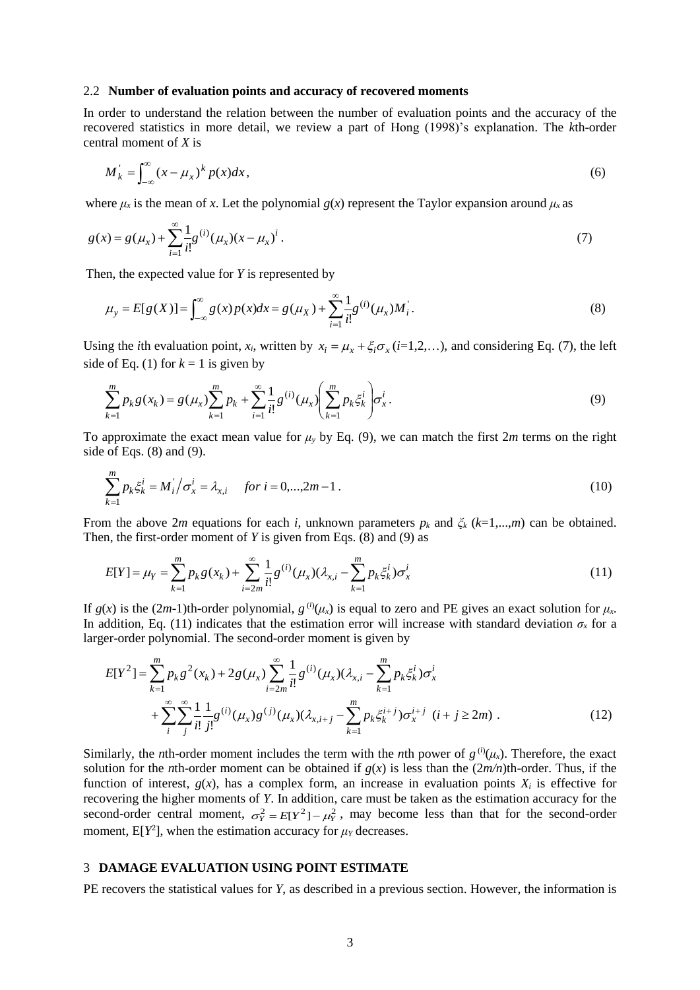#### 2.2 **Number of evaluation points and accuracy of recovered moments**

In order to understand the relation between the number of evaluation points and the accuracy of the recovered statistics in more detail, we review a part of Hong (1998)'s explanation. The *k*th-order central moment of *X* is

$$
M_k = \int_{-\infty}^{\infty} (x - \mu_x)^k p(x) dx,
$$
\n(6)

where  $\mu_x$  is the mean of *x*. Let the polynomial  $g(x)$  represent the Taylor expansion around  $\mu_x$  as

$$
g(x) = g(\mu_x) + \sum_{i=1}^{\infty} \frac{1}{i!} g^{(i)}(\mu_x) (x - \mu_x)^i.
$$
 (7)

Then, the expected value for *Y* is represented by

$$
\mu_{y} = E[g(X)] = \int_{-\infty}^{\infty} g(x) p(x) dx = g(\mu_{X}) + \sum_{i=1}^{\infty} \frac{1}{i!} g^{(i)}(\mu_{x}) M_{i}.
$$
\n(8)

Using the *i*th evaluation point,  $x_i$ , written by  $x_i = \mu_x + \xi_i \sigma_x (i=1,2,...)$ , and considering Eq. (7), the left side of Eq. (1) for  $k = 1$  is given by

$$
\sum_{k=1}^{m} p_k g(x_k) = g(\mu_x) \sum_{k=1}^{m} p_k + \sum_{i=1}^{\infty} \frac{1}{i!} g^{(i)}(\mu_x) \left( \sum_{k=1}^{m} p_k \xi_k^i \right) \sigma_x^i.
$$
\n(9)

To approximate the exact mean value for  $\mu_y$  by Eq. (9), we can match the first 2*m* terms on the right side of Eqs. (8) and (9).

$$
\sum_{k=1}^{m} p_k \xi_k^i = M_i / \sigma_x^i = \lambda_{x,i} \quad \text{for } i = 0, \dots, 2m - 1 \,.
$$
 (10)

From the above 2*m* equations for each *i*, unknown parameters  $p_k$  and  $\zeta_k$  ( $k=1,...,m$ ) can be obtained. Then, the first-order moment of *Y* is given from Eqs. (8) and (9) as

$$
E[Y] = \mu_Y = \sum_{k=1}^{m} p_k g(x_k) + \sum_{i=2m}^{\infty} \frac{1}{i!} g^{(i)}(\mu_X)(\lambda_{X,i} - \sum_{k=1}^{m} p_k \xi_k^i) \sigma_X^i
$$
(11)

If  $g(x)$  is the  $(2m-1)$ <sup>th</sup>-order polynomial,  $g^{(i)}(\mu_x)$  is equal to zero and PE gives an exact solution for  $\mu_x$ . In addition, Eq. (11) indicates that the estimation error will increase with standard deviation  $\sigma_x$  for a larger-order polynomial. The second-order moment is given by

$$
E[Y^{2}] = \sum_{k=1}^{m} p_{k} g^{2}(x_{k}) + 2g(\mu_{x}) \sum_{i=2m}^{\infty} \frac{1}{i!} g^{(i)}(\mu_{x}) (\lambda_{x,i} - \sum_{k=1}^{m} p_{k} \xi_{k}^{i}) \sigma_{x}^{i}
$$
  
+ 
$$
\sum_{i}^{\infty} \sum_{j}^{\infty} \frac{1}{i!} \frac{1}{j!} g^{(i)}(\mu_{x}) g^{(j)}(\mu_{x}) (\lambda_{x,i+j} - \sum_{k=1}^{m} p_{k} \xi_{k}^{i+j}) \sigma_{x}^{i+j} \quad (i+j \ge 2m) .
$$
 (12)

Similarly, the *n*th-order moment includes the term with the *n*th power of  $g^{(i)}(\mu_x)$ . Therefore, the exact solution for the *n*th-order moment can be obtained if  $g(x)$  is less than the  $(2m/n)$ th-order. Thus, if the function of interest,  $g(x)$ , has a complex form, an increase in evaluation points  $X_i$  is effective for recovering the higher moments of *Y*. In addition, care must be taken as the estimation accuracy for the second-order central moment,  $\sigma_Y^2 = E[Y^2] - \mu_Y^2$ , may become less than that for the second-order moment,  $E[Y^2]$ , when the estimation accuracy for  $\mu_Y$  decreases.

### 3 **DAMAGE EVALUATION USING POINT ESTIMATE**

PE recovers the statistical values for *Y*, as described in a previous section. However, the information is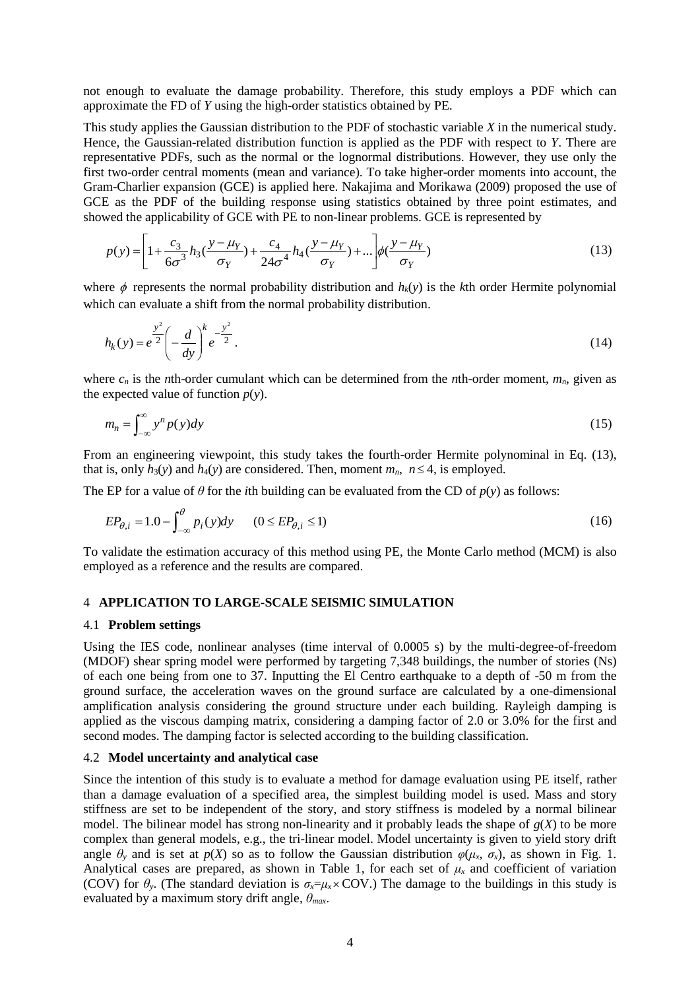not enough to evaluate the damage probability. Therefore, this study employs a PDF which can approximate the FD of *Y* using the high-order statistics obtained by PE.

This study applies the Gaussian distribution to the PDF of stochastic variable *X* in the numerical study. Hence, the Gaussian-related distribution function is applied as the PDF with respect to *Y*. There are representative PDFs, such as the normal or the lognormal distributions. However, they use only the first two-order central moments (mean and variance). To take higher-order moments into account, the Gram-Charlier expansion (GCE) is applied here. Nakajima and Morikawa (2009) proposed the use of GCE as the PDF of the building response using statistics obtained by three point estimates, and showed the applicability of GCE with PE to non-linear problems. GCE is represented by

$$
p(y) = \left[1 + \frac{c_3}{6\sigma^3}h_3(\frac{y - \mu_Y}{\sigma_Y}) + \frac{c_4}{24\sigma^4}h_4(\frac{y - \mu_Y}{\sigma_Y}) + \dots\right] \phi(\frac{y - \mu_Y}{\sigma_Y})
$$
(13)

where  $\phi$  represents the normal probability distribution and  $h_k(y)$  is the *k*th order Hermite polynomial which can evaluate a shift from the normal probability distribution.

$$
h_k(y) = e^{\frac{y^2}{2}} \left( -\frac{d}{dy} \right)^k e^{-\frac{y^2}{2}}.
$$
 (14)

where  $c_n$  is the *n*th-order cumulant which can be determined from the *n*th-order moment,  $m_n$ , given as the expected value of function  $p(y)$ .

$$
m_n = \int_{-\infty}^{\infty} y^n p(y) dy
$$
 (15)

From an engineering viewpoint, this study takes the fourth-order Hermite polynominal in Eq. (13), that is, only  $h_3(y)$  and  $h_4(y)$  are considered. Then, moment  $m_n$ ,  $n \le 4$ , is employed.

The EP for a value of  $\theta$  for the *i*th building can be evaluated from the CD of  $p(y)$  as follows:

$$
EP_{\theta,i} = 1.0 - \int_{-\infty}^{\theta} p_i(y) dy \qquad (0 \le EP_{\theta,i} \le 1)
$$
 (16)

To validate the estimation accuracy of this method using PE, the Monte Carlo method (MCM) is also employed as a reference and the results are compared.

# 4 **APPLICATION TO LARGE-SCALE SEISMIC SIMULATION**

#### 4.1 **Problem settings**

Using the IES code, nonlinear analyses (time interval of 0.0005 s) by the multi-degree-of-freedom (MDOF) shear spring model were performed by targeting 7,348 buildings, the number of stories (Ns) of each one being from one to 37. Inputting the El Centro earthquake to a depth of -50 m from the ground surface, the acceleration waves on the ground surface are calculated by a one-dimensional amplification analysis considering the ground structure under each building. Rayleigh damping is applied as the viscous damping matrix, considering a damping factor of 2.0 or 3.0% for the first and second modes. The damping factor is selected according to the building classification.

#### 4.2 **Model uncertainty and analytical case**

Since the intention of this study is to evaluate a method for damage evaluation using PE itself, rather than a damage evaluation of a specified area, the simplest building model is used. Mass and story stiffness are set to be independent of the story, and story stiffness is modeled by a normal bilinear model. The bilinear model has strong non-linearity and it probably leads the shape of  $g(X)$  to be more complex than general models, e.g., the tri-linear model. Model uncertainty is given to yield story drift angle  $\theta$ <sup>*y*</sup> and is set at  $p(X)$  so as to follow the Gaussian distribution  $\varphi(\mu_X, \sigma_X)$ , as shown in Fig. 1. Analytical cases are prepared, as shown in Table 1, for each set of  $\mu_x$  and coefficient of variation (COV) for  $\theta$ <sup>*y*</sup>. (The standard deviation is  $\sigma_x = \mu_x \times \text{COV}$ .) The damage to the buildings in this study is evaluated by a maximum story drift angle, *θmax*.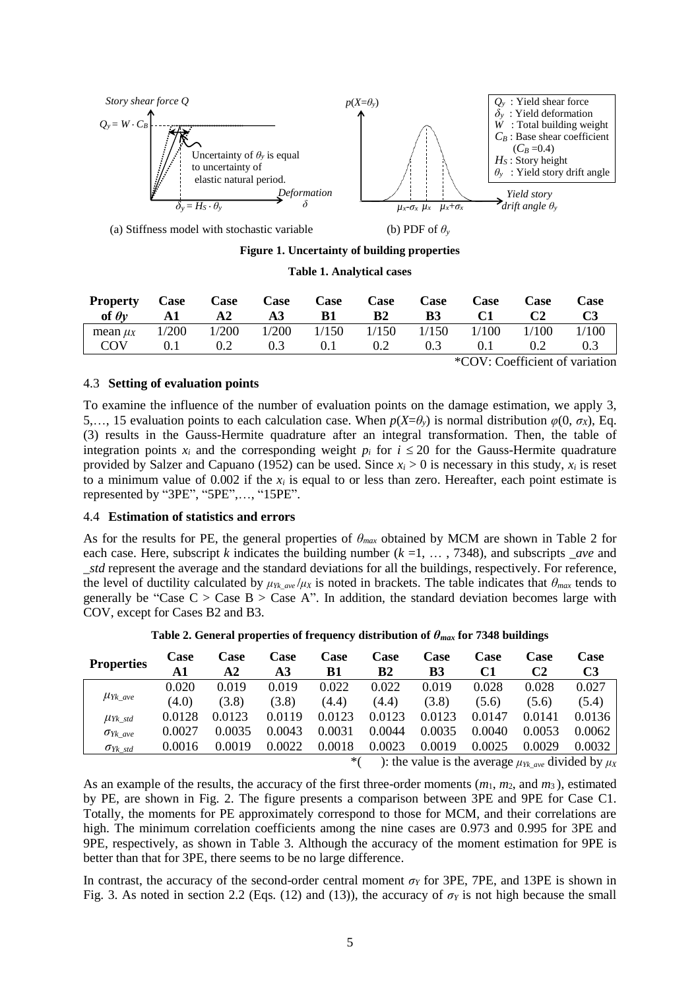

(a) Stiffness model with stochastic variable (b) PDF of *θ<sup>y</sup>*

**Figure 1. Uncertainty of building properties**

#### **Table 1. Analytical cases**

| <b>Property</b><br>of $\theta y$ A1 | Case | Case<br>$\mathbf{A2}$                                           | Case<br>A3 | Case<br>- B1 | Case<br>B2    | Case<br><b>B3</b> | <b>Case</b><br>C1 | <b>Case</b><br>C2 | Case  |
|-------------------------------------|------|-----------------------------------------------------------------|------------|--------------|---------------|-------------------|-------------------|-------------------|-------|
| mean $\mu_X$                        |      | $1/200$ $1/200$ $1/200$ $1/150$ $1/150$ $1/150$ $1/100$ $1/100$ |            |              |               |                   |                   |                   | 1/100 |
| COV                                 | 0.1  | 0.2                                                             | 0.3        | 0.1          | $0.2^{\circ}$ | 0.3               | 0.1               | 0.2               |       |

\*COV: Coefficient of variation

# 4.3 **Setting of evaluation points**

To examine the influence of the number of evaluation points on the damage estimation, we apply 3, 5,..., 15 evaluation points to each calculation case. When  $p(X=\theta_y)$  is normal distribution  $\varphi(0, \sigma_X)$ , Eq. (3) results in the Gauss-Hermite quadrature after an integral transformation. Then, the table of integration points  $x_i$  and the corresponding weight  $p_i$  for  $i \leq 20$  for the Gauss-Hermite quadrature provided by Salzer and Capuano (1952) can be used. Since  $x_i > 0$  is necessary in this study,  $x_i$  is reset to a minimum value of  $0.002$  if the  $x_i$  is equal to or less than zero. Hereafter, each point estimate is represented by "3PE", "5PE",…, "15PE".

# 4.4 **Estimation of statistics and errors**

As for the results for PE, the general properties of *θmax* obtained by MCM are shown in Table 2 for each case. Here, subscript *k* indicates the building number  $(k = 1, \ldots, 7348)$ , and subscripts *ave* and \_*std* represent the average and the standard deviations for all the buildings, respectively. For reference, the level of ductility calculated by  $\mu_{Yk\ qve}/\mu_X$  is noted in brackets. The table indicates that  $\theta_{max}$  tends to generally be "Case  $C >$  Case  $B >$  Case A". In addition, the standard deviation becomes large with COV, except for Cases B2 and B3.

| <b>Properties</b>                                                            | <b>Case</b><br>A1 | <b>Case</b><br>A2 | Case<br>A3 | Case<br>B1 | Case<br>B2 | Case<br>B3 | <b>Case</b><br>C1 | Case<br>C2 | Case<br>C3 |
|------------------------------------------------------------------------------|-------------------|-------------------|------------|------------|------------|------------|-------------------|------------|------------|
| $\mu_{Yk\_ave}$                                                              | 0.020             | 0.019             | 0.019      | 0.022      | 0.022      | 0.019      | 0.028             | 0.028      | 0.027      |
|                                                                              | (4.0)             | (3.8)             | (3.8)      | (4.4)      | (4.4)      | (3.8)      | (5.6)             | (5.6)      | (5.4)      |
| $\mu_{Yk \, std}$                                                            | 0.0128            | 0.0123            | 0.0119     | 0.0123     | 0.0123     | 0.0123     | 0.0147            | 0.0141     | 0.0136     |
| $\sigma_{Yk \; ave}$                                                         | 0.0027            | 0.0035            | 0.0043     | 0.0031     | 0.0044     | 0.0035     | 0.0040            | 0.0053     | 0.0062     |
| $\sigma_{Yk$ std                                                             | 0.0016            | 0.0019            | 0.0022     | 0.0018     | 0.0023     | 0.0019     | 0.0025            | 0.0029     | 0.0032     |
| $divided$ by $\mu$ .<br>$\cdot$ the value is the average $\mu_{\rm m}$<br>*( |                   |                   |            |            |            |            |                   |            |            |

**Table 2. General properties of frequency distribution of**  $\theta_{max}$  **for 7348 buildings** 

): the value is the average  $\mu_{Yk\_ave}$  divided by  $\mu_X$ 

As an example of the results, the accuracy of the first three-order moments (*m*1, *m*2, and *m*3 ), estimated by PE, are shown in Fig. 2. The figure presents a comparison between 3PE and 9PE for Case C1. Totally, the moments for PE approximately correspond to those for MCM, and their correlations are high. The minimum correlation coefficients among the nine cases are 0.973 and 0.995 for 3PE and 9PE, respectively, as shown in Table 3. Although the accuracy of the moment estimation for 9PE is better than that for 3PE, there seems to be no large difference.

In contrast, the accuracy of the second-order central moment *σ<sup>Y</sup>* for 3PE, 7PE, and 13PE is shown in Fig. 3. As noted in section 2.2 (Eqs. (12) and (13)), the accuracy of  $\sigma_Y$  is not high because the small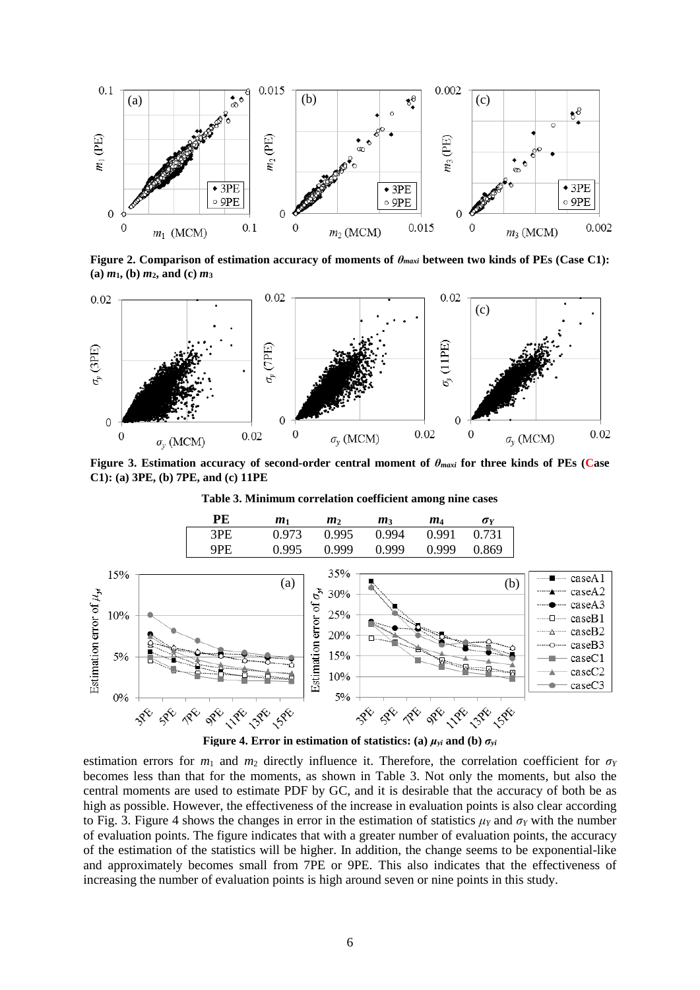

**Figure 2. Comparison of estimation accuracy of moments of** *θmaxi* **between two kinds of PEs (Case C1): (a)** *m***1, (b)** *m***2, and (c)** *m***<sup>3</sup>**



**Figure 3. Estimation accuracy of second-order central moment of** *θmaxi* **for three kinds of PEs (Case C1): (a) 3PE, (b) 7PE, and (c) 11PE**







estimation errors for  $m_1$  and  $m_2$  directly influence it. Therefore, the correlation coefficient for  $\sigma_Y$ becomes less than that for the moments, as shown in Table 3. Not only the moments, but also the central moments are used to estimate PDF by GC, and it is desirable that the accuracy of both be as high as possible. However, the effectiveness of the increase in evaluation points is also clear according to Fig. 3. Figure 4 shows the changes in error in the estimation of statistics  $\mu_Y$  and  $\sigma_Y$  with the number of evaluation points. The figure indicates that with a greater number of evaluation points, the accuracy of the estimation of the statistics will be higher. In addition, the change seems to be exponential-like and approximately becomes small from 7PE or 9PE. This also indicates that the effectiveness of increasing the number of evaluation points is high around seven or nine points in this study.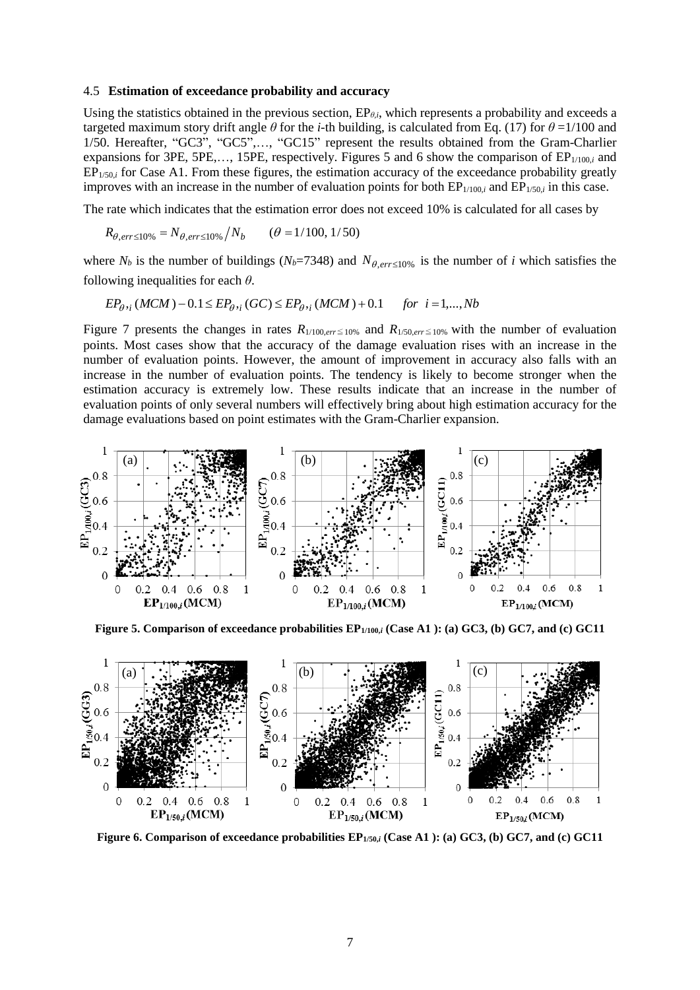#### 4.5 **Estimation of exceedance probability and accuracy**

Using the statistics obtained in the previous section,  $EP_{\theta,i}$ , which represents a probability and exceeds a targeted maximum story drift angle  $\theta$  for the *i*-th building, is calculated from Eq. (17) for  $\theta = 1/100$  and 1/50. Hereafter, "GC3", "GC5",…, "GC15" represent the results obtained from the Gram-Charlier expansions for 3PE, 5PE,..., 15PE, respectively. Figures 5 and 6 show the comparison of EP<sub>1/100,*i*</sub> and EP<sub>1/50,*i*</sub> for Case A1. From these figures, the estimation accuracy of the exceedance probability greatly improves with an increase in the number of evaluation points for both  $EP_{1/100,i}$  and  $EP_{1/50,i}$  in this case.

The rate which indicates that the estimation error does not exceed 10% is calculated for all cases by

$$
R_{\theta, err \le 10\%} = N_{\theta, err \le 10\%} / N_b \qquad (\theta = 1/100, 1/50)
$$

where  $N_b$  is the number of buildings ( $N_b$ =7348) and  $N_{\theta, err \le 10\%}$  is the number of *i* which satisfies the following inequalities for each *θ*.

$$
EP_{\theta_{i}}(MCM) - 0.1 \le EP_{\theta_{i}}(GC) \le EP_{\theta_{i}}(MCM) + 0.1
$$
 for  $i = 1,...,Nb$ 

Figure 7 presents the changes in rates  $R_{1/100,err \le 10\%}$  and  $R_{1/50,err \le 10\%}$  with the number of evaluation points. Most cases show that the accuracy of the damage evaluation rises with an increase in the number of evaluation points. However, the amount of improvement in accuracy also falls with an increase in the number of evaluation points. The tendency is likely to become stronger when the estimation accuracy is extremely low. These results indicate that an increase in the number of evaluation points of only several numbers will effectively bring about high estimation accuracy for the damage evaluations based on point estimates with the Gram-Charlier expansion.



**Figure 5. Comparison of exceedance probabilities EP1/100,***<sup>i</sup>* **(Case A1 ): (a) GC3, (b) GC7, and (c) GC11**



**Figure 6. Comparison of exceedance probabilities EP1/50,***<sup>i</sup>* **(Case A1 ): (a) GC3, (b) GC7, and (c) GC11**